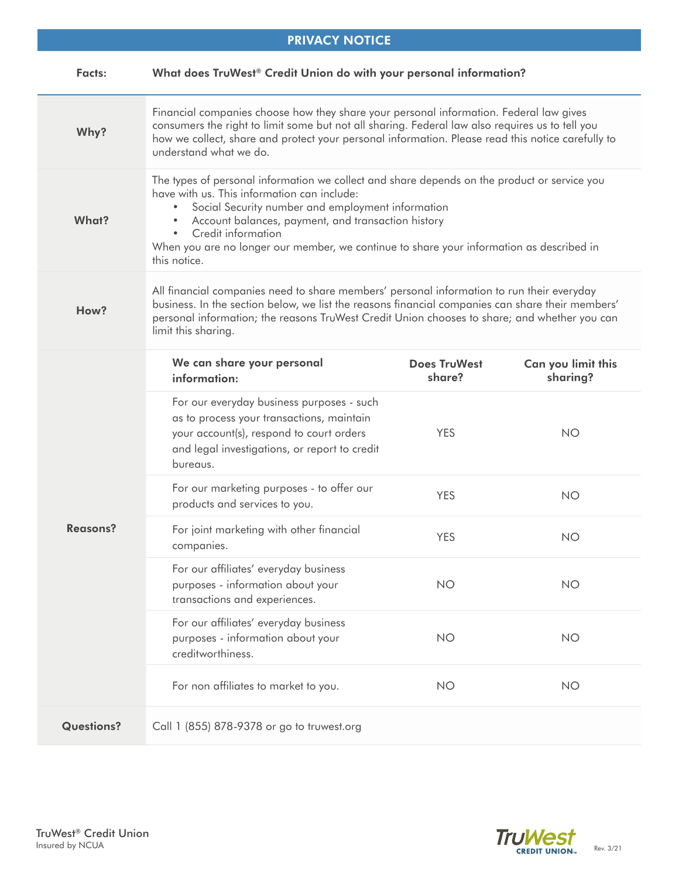| <b>PRIVACY NOTICE</b> |                                                                                                                                                                                                                                                                                                                                                                                                       |                               |                                |  |
|-----------------------|-------------------------------------------------------------------------------------------------------------------------------------------------------------------------------------------------------------------------------------------------------------------------------------------------------------------------------------------------------------------------------------------------------|-------------------------------|--------------------------------|--|
| <b>Facts:</b>         | What does TruWest® Credit Union do with your personal information?                                                                                                                                                                                                                                                                                                                                    |                               |                                |  |
| Why?                  | Financial companies choose how they share your personal information. Federal law gives<br>consumers the right to limit some but not all sharing. Federal law also requires us to tell you<br>how we collect, share and protect your personal information. Please read this notice carefully to<br>understand what we do.                                                                              |                               |                                |  |
| What?                 | The types of personal information we collect and share depends on the product or service you<br>have with us. This information can include:<br>Social Security number and employment information<br>Account balances, payment, and transaction history<br>Credit information<br>$\bullet$<br>When you are no longer our member, we continue to share your information as described in<br>this notice. |                               |                                |  |
| How?                  | All financial companies need to share members' personal information to run their everyday<br>business. In the section below, we list the reasons financial companies can share their members'<br>personal information; the reasons TruWest Credit Union chooses to share; and whether you can<br>limit this sharing.                                                                                  |                               |                                |  |
| <b>Reasons?</b>       | We can share your personal<br>information:                                                                                                                                                                                                                                                                                                                                                            | <b>Does TruWest</b><br>share? | Can you limit this<br>sharing? |  |
|                       | For our everyday business purposes - such<br>as to process your transactions, maintain<br>your account(s), respond to court orders<br>and legal investigations, or report to credit<br>bureaus.                                                                                                                                                                                                       | <b>YES</b>                    | <b>NO</b>                      |  |
|                       | For our marketing purposes - to offer our<br>products and services to you.                                                                                                                                                                                                                                                                                                                            | <b>YES</b>                    | <b>NO</b>                      |  |
|                       | For joint marketing with other financial<br>companies.                                                                                                                                                                                                                                                                                                                                                | <b>YES</b>                    | <b>NO</b>                      |  |
|                       | For our affiliates' everyday business<br>purposes - information about your<br>transactions and experiences.                                                                                                                                                                                                                                                                                           | <b>NO</b>                     | <b>NO</b>                      |  |
|                       | For our affiliates' everyday business<br>purposes - information about your<br>creditworthiness.                                                                                                                                                                                                                                                                                                       | <b>NO</b>                     | <b>NO</b>                      |  |
|                       | For non affiliates to market to you.                                                                                                                                                                                                                                                                                                                                                                  | <b>NO</b>                     | <b>NO</b>                      |  |
| <b>Questions?</b>     | Call 1 (855) 878-9378 or go to truwest.org                                                                                                                                                                                                                                                                                                                                                            |                               |                                |  |